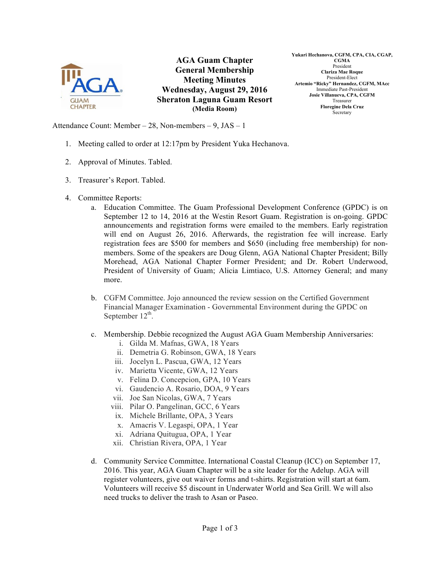

**AGA Guam Chapter General Membership Meeting Minutes Wednesday, August 29, 2016 Sheraton Laguna Guam Resort (Media Room)**

**Yukari Hechanova, CGFM, CPA, CIA, CGAP, CGMA** President **Clariza Mae Roque** President-Elect **Artemio "Ricky" Hernandez, CGFM, MAcc** Immediate Past-President **Josie Villanueva, CPA, CGFM** Treasurer **Floregine Dela Cruz** Secretary

Attendance Count: Member – 28, Non-members – 9, JAS – 1

- 1. Meeting called to order at 12:17pm by President Yuka Hechanova.
- 2. Approval of Minutes. Tabled.
- 3. Treasurer's Report. Tabled.
- 4. Committee Reports:
	- a. Education Committee. The Guam Professional Development Conference (GPDC) is on September 12 to 14, 2016 at the Westin Resort Guam. Registration is on-going. GPDC announcements and registration forms were emailed to the members. Early registration will end on August 26, 2016. Afterwards, the registration fee will increase. Early registration fees are \$500 for members and \$650 (including free membership) for nonmembers. Some of the speakers are Doug Glenn, AGA National Chapter President; Billy Morehead, AGA National Chapter Former President; and Dr. Robert Underwood, President of University of Guam; Alicia Limtiaco, U.S. Attorney General; and many more.
	- b. CGFM Committee. Jojo announced the review session on the Certified Government Financial Manager Examination - Governmental Environment during the GPDC on September  $12^{th}$ .
	- c. Membership. Debbie recognized the August AGA Guam Membership Anniversaries:
		- i. Gilda M. Mafnas, GWA, 18 Years
		- ii. Demetria G. Robinson, GWA, 18 Years
		- iii. Jocelyn L. Pascua, GWA, 12 Years
		- iv. Marietta Vicente, GWA, 12 Years
		- v. Felina D. Concepcion, GPA, 10 Years
		- vi. Gaudencio A. Rosario, DOA, 9 Years
		- vii. Joe San Nicolas, GWA, 7 Years
		- viii. Pilar O. Pangelinan, GCC, 6 Years
		- ix. Michele Brillante, OPA, 3 Years
		- x. Amacris V. Legaspi, OPA, 1 Year
		- xi. Adriana Quitugua, OPA, 1 Year
		- xii. Christian Rivera, OPA, 1 Year
	- d. Community Service Committee. International Coastal Cleanup (ICC) on September 17, 2016. This year, AGA Guam Chapter will be a site leader for the Adelup. AGA will register volunteers, give out waiver forms and t-shirts. Registration will start at 6am. Volunteers will receive \$5 discount in Underwater World and Sea Grill. We will also need trucks to deliver the trash to Asan or Paseo.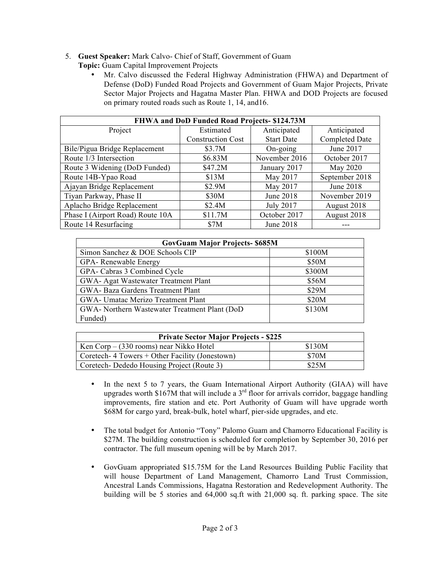## 5. **Guest Speaker:** Mark Calvo- Chief of Staff, Government of Guam

- **Topic:** Guam Capital Improvement Projects
	- Mr. Calvo discussed the Federal Highway Administration (FHWA) and Department of Defense (DoD) Funded Road Projects and Government of Guam Major Projects, Private Sector Major Projects and Hagatna Master Plan. FHWA and DOD Projects are focused on primary routed roads such as Route 1, 14, and16.

| FHWA and DoD Funded Road Projects- \$124.73M |                          |                   |                |  |
|----------------------------------------------|--------------------------|-------------------|----------------|--|
| Project                                      | Estimated                | Anticipated       | Anticipated    |  |
|                                              | <b>Construction Cost</b> | <b>Start Date</b> | Completed Date |  |
| Bile/Pigua Bridge Replacement                | \$3.7M                   | $On-going$        | June 2017      |  |
| Route 1/3 Intersection                       | \$6.83M                  | November 2016     | October 2017   |  |
| Route 3 Widening (DoD Funded)                | \$47.2M                  | January 2017      | May 2020       |  |
| Route 14B-Ypao Road                          | \$13M                    | May 2017          | September 2018 |  |
| Ajayan Bridge Replacement                    | \$2.9M                   | May 2017          | June 2018      |  |
| Tiyan Parkway, Phase II                      | \$30M                    | June 2018         | November 2019  |  |
| Aplacho Bridge Replacement                   | \$2.4M                   | <b>July 2017</b>  | August 2018    |  |
| Phase I (Airport Road) Route 10A             | \$11.7M                  | October 2017      | August 2018    |  |
| Route 14 Resurfacing                         | \$7M                     | June 2018         |                |  |

| <b>GovGuam Major Projects- \$685M</b>         |        |  |  |
|-----------------------------------------------|--------|--|--|
| Simon Sanchez & DOE Schools CIP               | \$100M |  |  |
| GPA-Renewable Energy                          | \$50M  |  |  |
| GPA- Cabras 3 Combined Cycle                  | \$300M |  |  |
| GWA- Agat Wastewater Treatment Plant          | \$56M  |  |  |
| GWA- Baza Gardens Treatment Plant             | \$29M  |  |  |
| GWA- Umatac Merizo Treatment Plant            | \$20M  |  |  |
| GWA- Northern Wastewater Treatment Plant (DoD | \$130M |  |  |
| Funded)                                       |        |  |  |

| <b>Private Sector Major Projects - \$225</b>   |        |  |  |  |
|------------------------------------------------|--------|--|--|--|
| Ken Corp – (330 rooms) near Nikko Hotel        | \$130M |  |  |  |
| Coretech-4 Towers + Other Facility (Jonestown) | \$70M  |  |  |  |
| Coretech-Dededo Housing Project (Route 3)      | \$25M  |  |  |  |

- In the next 5 to 7 years, the Guam International Airport Authority (GIAA) will have upgrades worth \$167M that will include a  $3<sup>rd</sup>$  floor for arrivals corridor, baggage handling improvements, fire station and etc. Port Authority of Guam will have upgrade worth \$68M for cargo yard, break-bulk, hotel wharf, pier-side upgrades, and etc.
- The total budget for Antonio "Tony" Palomo Guam and Chamorro Educational Facility is \$27M. The building construction is scheduled for completion by September 30, 2016 per contractor. The full museum opening will be by March 2017.
- GovGuam appropriated \$15.75M for the Land Resources Building Public Facility that will house Department of Land Management, Chamorro Land Trust Commission, Ancestral Lands Commissions, Hagatna Restoration and Redevelopment Authority. The building will be 5 stories and 64,000 sq.ft with 21,000 sq. ft. parking space. The site